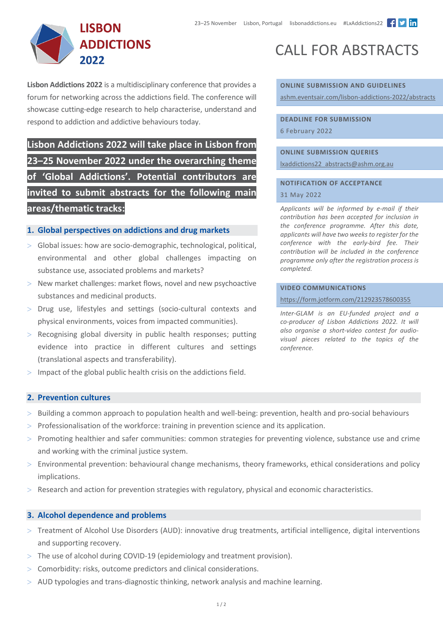

**Lisbon Addictions 2022** is a multidisciplinary conference that provides a forum for networking across the addictions field. The conference will showcase cutting-edge research to help characterise, understand and respond to addiction and addictive behaviours today.

**Lisbon Addictions 2022 will take place in Lisbon from 23–25 November 2022 under the overarching theme of 'Global Addictions'. Potential contributors are invited to submit abstracts for the following main areas/thematic tracks:**

# **1. Global perspectives on addictions and drug markets**

- > Global issues: how are socio-demographic, technological, political, environmental and other global challenges impacting on substance use, associated problems and markets?
- > New market challenges: market flows, novel and new psychoactive substances and medicinal products.
- > Drug use, lifestyles and settings (socio-cultural contexts and physical environments, voices from impacted communities).
- > Recognising global diversity in public health responses; putting evidence into practice in different cultures and settings (translational aspects and transferability).
- $>$  Impact of the global public health crisis on the addictions field.

# **2. Prevention cultures**

- > Building a common approach to population health and well-being: prevention, health and pro-social behaviours
- > Professionalisation of the workforce: training in prevention science and its application.
- > Promoting healthier and safer communities: common strategies for preventing violence, substance use and crime and working with the criminal justice system.
- > Environmental prevention: behavioural change mechanisms, theory frameworks, ethical considerations and policy implications.
- > Research and action for prevention strategies with regulatory, physical and economic characteristics.

# **3. Alcohol dependence and problems**

- > Treatment of Alcohol Use Disorders (AUD): innovative drug treatments, artificial intelligence, digital interventions and supporting recovery.
- > The use of alcohol during COVID-19 (epidemiology and treatment provision).
- > Comorbidity: risks, outcome predictors and clinical considerations.
- > AUD typologies and trans-diagnostic thinking, network analysis and machine learning.

# CALL FOR ABSTRACTS

**ONLINE SUBMISSION AND GUIDELINES** [ashm.eventsair.com/lisbon](https://ashm.eventsair.com/lisbon-addictions-2022/abstracts)-addictions-2022/abstracts

**DEADLINE FOR SUBMISSION**  6 February 2022

**ONLINE SUBMISSION QUERIES** [lxaddictions22\\_abstracts@ashm.org.au](mailto:lxaddictions22_abstracts@ashm.org.au)

## **NOTIFICATION OF ACCEPTANCE**

## 31 May 2022

*Applicants will be informed by e-mail if their contribution has been accepted for inclusion in the conference programme. After this date, applicants will have two weeks to register for the conference with the early-bird fee. Their contribution will be included in the conference programme only after the registration process is completed.*

#### **VIDEO COMMUNICATIONS**

<https://form.jotform.com/212923578600355>

*Inter-GLAM is an EU-funded project and a co-producer of Lisbon Addictions 2022. It will also organise a short-video contest for audiovisual pieces related to the topics of the conference.*